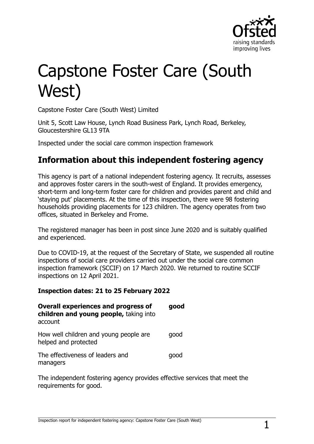

# Capstone Foster Care (South West)

Capstone Foster Care (South West) Limited

Unit 5, Scott Law House, Lynch Road Business Park, Lynch Road, Berkeley, Gloucestershire GL13 9TA

Inspected under the social care common inspection framework

## **Information about this independent fostering agency**

This agency is part of a national independent fostering agency. It recruits, assesses and approves foster carers in the south-west of England. It provides emergency, short-term and long-term foster care for children and provides parent and child and 'staying put' placements. At the time of this inspection, there were 98 fostering households providing placements for 123 children. The agency operates from two offices, situated in Berkeley and Frome.

The registered manager has been in post since June 2020 and is suitably qualified and experienced.

Due to COVID-19, at the request of the Secretary of State, we suspended all routine inspections of social care providers carried out under the social care common inspection framework (SCCIF) on 17 March 2020. We returned to routine SCCIF inspections on 12 April 2021.

#### **Inspection dates: 21 to 25 February 2022**

| <b>Overall experiences and progress of</b><br>children and young people, taking into<br>account | good |
|-------------------------------------------------------------------------------------------------|------|
| How well children and young people are<br>helped and protected                                  | qood |
| The effectiveness of leaders and<br>managers                                                    | qood |

The independent fostering agency provides effective services that meet the requirements for good.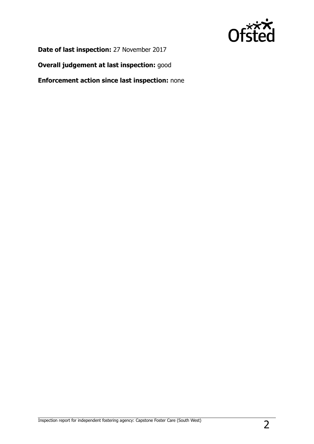

**Date of last inspection:** 27 November 2017

**Overall judgement at last inspection:** good

**Enforcement action since last inspection:** none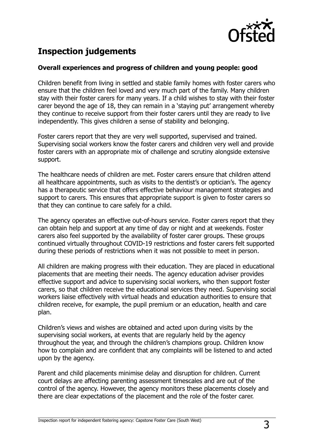

## **Inspection judgements**

#### **Overall experiences and progress of children and young people: good**

Children benefit from living in settled and stable family homes with foster carers who ensure that the children feel loved and very much part of the family. Many children stay with their foster carers for many years. If a child wishes to stay with their foster carer beyond the age of 18, they can remain in a 'staying put' arrangement whereby they continue to receive support from their foster carers until they are ready to live independently. This gives children a sense of stability and belonging.

Foster carers report that they are very well supported, supervised and trained. Supervising social workers know the foster carers and children very well and provide foster carers with an appropriate mix of challenge and scrutiny alongside extensive support.

The healthcare needs of children are met. Foster carers ensure that children attend all healthcare appointments, such as visits to the dentist's or optician's. The agency has a therapeutic service that offers effective behaviour management strategies and support to carers. This ensures that appropriate support is given to foster carers so that they can continue to care safely for a child.

The agency operates an effective out-of-hours service. Foster carers report that they can obtain help and support at any time of day or night and at weekends. Foster carers also feel supported by the availability of foster carer groups. These groups continued virtually throughout COVID-19 restrictions and foster carers felt supported during these periods of restrictions when it was not possible to meet in person.

All children are making progress with their education. They are placed in educational placements that are meeting their needs. The agency education adviser provides effective support and advice to supervising social workers, who then support foster carers, so that children receive the educational services they need. Supervising social workers liaise effectively with virtual heads and education authorities to ensure that children receive, for example, the pupil premium or an education, health and care plan.

Children's views and wishes are obtained and acted upon during visits by the supervising social workers, at events that are regularly held by the agency throughout the year, and through the children's champions group. Children know how to complain and are confident that any complaints will be listened to and acted upon by the agency.

Parent and child placements minimise delay and disruption for children. Current court delays are affecting parenting assessment timescales and are out of the control of the agency. However, the agency monitors these placements closely and there are clear expectations of the placement and the role of the foster carer.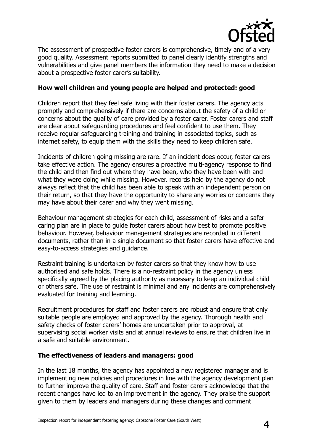

The assessment of prospective foster carers is comprehensive, timely and of a very good quality. Assessment reports submitted to panel clearly identify strengths and vulnerabilities and give panel members the information they need to make a decision about a prospective foster carer's suitability.

#### **How well children and young people are helped and protected: good**

Children report that they feel safe living with their foster carers. The agency acts promptly and comprehensively if there are concerns about the safety of a child or concerns about the quality of care provided by a foster carer. Foster carers and staff are clear about safeguarding procedures and feel confident to use them. They receive regular safeguarding training and training in associated topics, such as internet safety, to equip them with the skills they need to keep children safe.

Incidents of children going missing are rare. If an incident does occur, foster carers take effective action. The agency ensures a proactive multi-agency response to find the child and then find out where they have been, who they have been with and what they were doing while missing. However, records held by the agency do not always reflect that the child has been able to speak with an independent person on their return, so that they have the opportunity to share any worries or concerns they may have about their carer and why they went missing.

Behaviour management strategies for each child, assessment of risks and a safer caring plan are in place to guide foster carers about how best to promote positive behaviour. However, behaviour management strategies are recorded in different documents, rather than in a single document so that foster carers have effective and easy-to-access strategies and guidance.

Restraint training is undertaken by foster carers so that they know how to use authorised and safe holds. There is a no-restraint policy in the agency unless specifically agreed by the placing authority as necessary to keep an individual child or others safe. The use of restraint is minimal and any incidents are comprehensively evaluated for training and learning.

Recruitment procedures for staff and foster carers are robust and ensure that only suitable people are employed and approved by the agency. Thorough health and safety checks of foster carers' homes are undertaken prior to approval, at supervising social worker visits and at annual reviews to ensure that children live in a safe and suitable environment.

#### **The effectiveness of leaders and managers: good**

In the last 18 months, the agency has appointed a new registered manager and is implementing new policies and procedures in line with the agency development plan to further improve the quality of care. Staff and foster carers acknowledge that the recent changes have led to an improvement in the agency. They praise the support given to them by leaders and managers during these changes and comment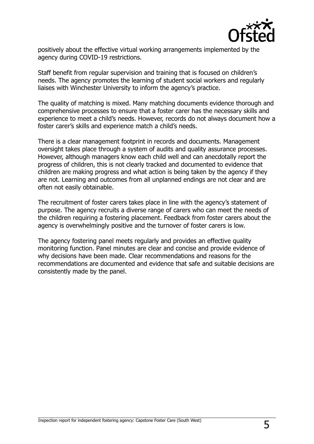

positively about the effective virtual working arrangements implemented by the agency during COVID-19 restrictions.

Staff benefit from regular supervision and training that is focused on children's needs. The agency promotes the learning of student social workers and regularly liaises with Winchester University to inform the agency's practice.

The quality of matching is mixed. Many matching documents evidence thorough and comprehensive processes to ensure that a foster carer has the necessary skills and experience to meet a child's needs. However, records do not always document how a foster carer's skills and experience match a child's needs.

There is a clear management footprint in records and documents. Management oversight takes place through a system of audits and quality assurance processes. However, although managers know each child well and can anecdotally report the progress of children, this is not clearly tracked and documented to evidence that children are making progress and what action is being taken by the agency if they are not. Learning and outcomes from all unplanned endings are not clear and are often not easily obtainable.

The recruitment of foster carers takes place in line with the agency's statement of purpose. The agency recruits a diverse range of carers who can meet the needs of the children requiring a fostering placement. Feedback from foster carers about the agency is overwhelmingly positive and the turnover of foster carers is low.

The agency fostering panel meets regularly and provides an effective quality monitoring function. Panel minutes are clear and concise and provide evidence of why decisions have been made. Clear recommendations and reasons for the recommendations are documented and evidence that safe and suitable decisions are consistently made by the panel.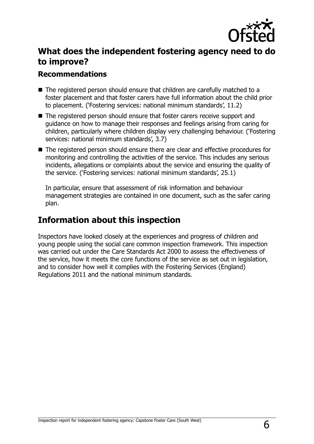

## **What does the independent fostering agency need to do to improve?**

### **Recommendations**

- The registered person should ensure that children are carefully matched to a foster placement and that foster carers have full information about the child prior to placement. ('Fostering services: national minimum standards', 11.2)
- The registered person should ensure that foster carers receive support and guidance on how to manage their responses and feelings arising from caring for children, particularly where children display very challenging behaviour. ('Fostering services: national minimum standards', 3.7)
- The registered person should ensure there are clear and effective procedures for monitoring and controlling the activities of the service. This includes any serious incidents, allegations or complaints about the service and ensuring the quality of the service. ('Fostering services: national minimum standards', 25.1)

In particular, ensure that assessment of risk information and behaviour management strategies are contained in one document, such as the safer caring plan.

## **Information about this inspection**

Inspectors have looked closely at the experiences and progress of children and young people using the social care common inspection framework. This inspection was carried out under the Care Standards Act 2000 to assess the effectiveness of the service, how it meets the core functions of the service as set out in legislation, and to consider how well it complies with the Fostering Services (England) Regulations 2011 and the national minimum standards.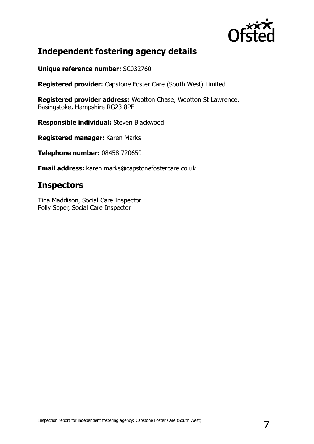

## **Independent fostering agency details**

**Unique reference number:** SC032760

**Registered provider:** Capstone Foster Care (South West) Limited

**Registered provider address:** Wootton Chase, Wootton St Lawrence, Basingstoke, Hampshire RG23 8PE

**Responsible individual:** Steven Blackwood

**Registered manager:** Karen Marks

**Telephone number:** 08458 720650

**Email address:** karen.marks@capstonefostercare.co.uk

## **Inspectors**

Tina Maddison, Social Care Inspector Polly Soper, Social Care Inspector